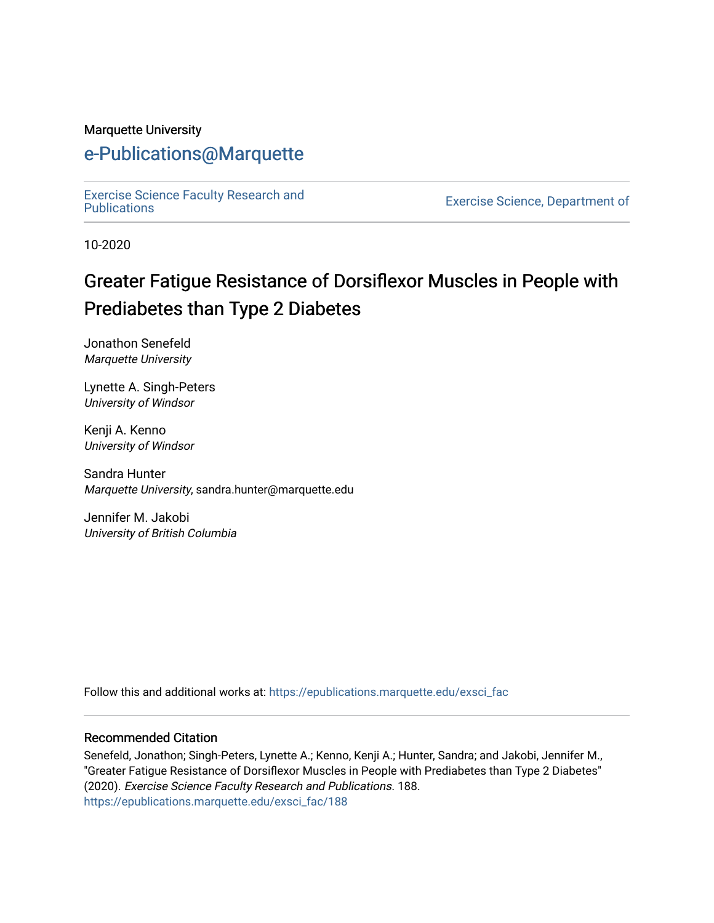#### Marquette University

# [e-Publications@Marquette](https://epublications.marquette.edu/)

[Exercise Science Faculty Research and](https://epublications.marquette.edu/exsci_fac)

Exercise Science, Department of

10-2020

# Greater Fatigue Resistance of Dorsiflexor Muscles in People with Prediabetes than Type 2 Diabetes

Jonathon Senefeld Marquette University

Lynette A. Singh-Peters University of Windsor

Kenji A. Kenno University of Windsor

Sandra Hunter Marquette University, sandra.hunter@marquette.edu

Jennifer M. Jakobi University of British Columbia

Follow this and additional works at: [https://epublications.marquette.edu/exsci\\_fac](https://epublications.marquette.edu/exsci_fac?utm_source=epublications.marquette.edu%2Fexsci_fac%2F188&utm_medium=PDF&utm_campaign=PDFCoverPages)

#### Recommended Citation

Senefeld, Jonathon; Singh-Peters, Lynette A.; Kenno, Kenji A.; Hunter, Sandra; and Jakobi, Jennifer M., "Greater Fatigue Resistance of Dorsiflexor Muscles in People with Prediabetes than Type 2 Diabetes" (2020). Exercise Science Faculty Research and Publications. 188. [https://epublications.marquette.edu/exsci\\_fac/188](https://epublications.marquette.edu/exsci_fac/188?utm_source=epublications.marquette.edu%2Fexsci_fac%2F188&utm_medium=PDF&utm_campaign=PDFCoverPages)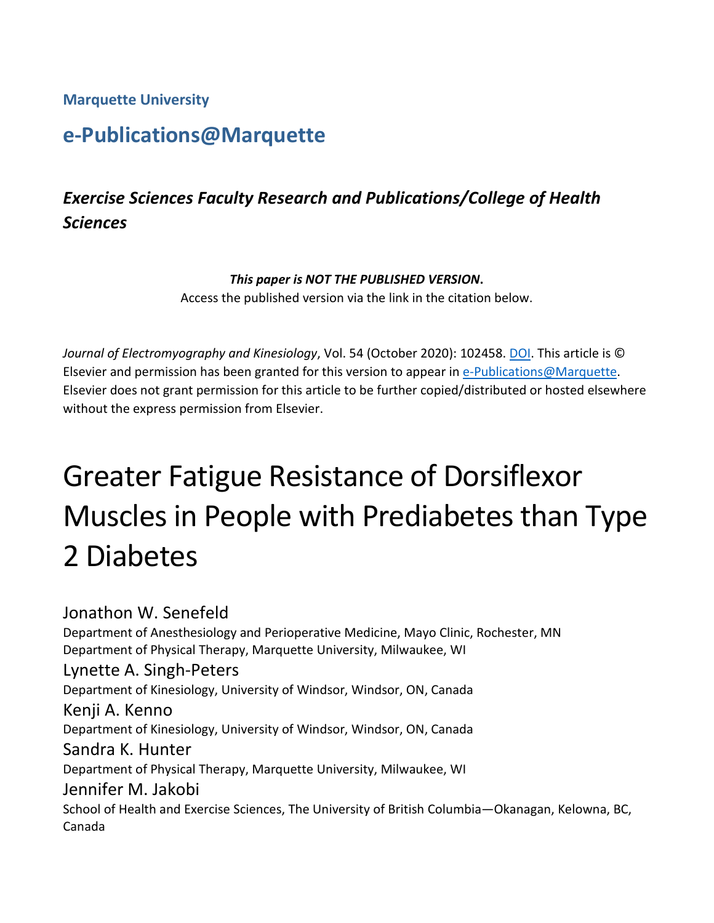**Marquette University**

# **e-Publications@Marquette**

# *Exercise Sciences Faculty Research and Publications/College of Health Sciences*

#### *This paper is NOT THE PUBLISHED VERSION***.**

Access the published version via the link in the citation below.

*Journal of Electromyography and Kinesiology*, Vol. 54 (October 2020): 102458. [DOI.](https://doi.org/10.1016/j.jelekin.2020.102458) This article is © Elsevier and permission has been granted for this version to appear in [e-Publications@Marquette.](http://epublications.marquette.edu/) Elsevier does not grant permission for this article to be further copied/distributed or hosted elsewhere without the express permission from Elsevier.

# Greater Fatigue Resistance of Dorsiflexor Muscles in People with Prediabetes than Type 2 Diabetes

Jonathon W. Senefeld Department of Anesthesiology and Perioperative Medicine, Mayo Clinic, Rochester, MN Department of Physical Therapy, Marquette University, Milwaukee, WI Lynette A. Singh-Peters Department of Kinesiology, University of Windsor, Windsor, ON, Canada Kenji A. Kenno Department of Kinesiology, University of Windsor, Windsor, ON, Canada Sandra K. Hunter Department of Physical Therapy, Marquette University, Milwaukee, WI Jennifer M. Jakobi School of Health and Exercise Sciences, The University of British Columbia—Okanagan, Kelowna, BC, Canada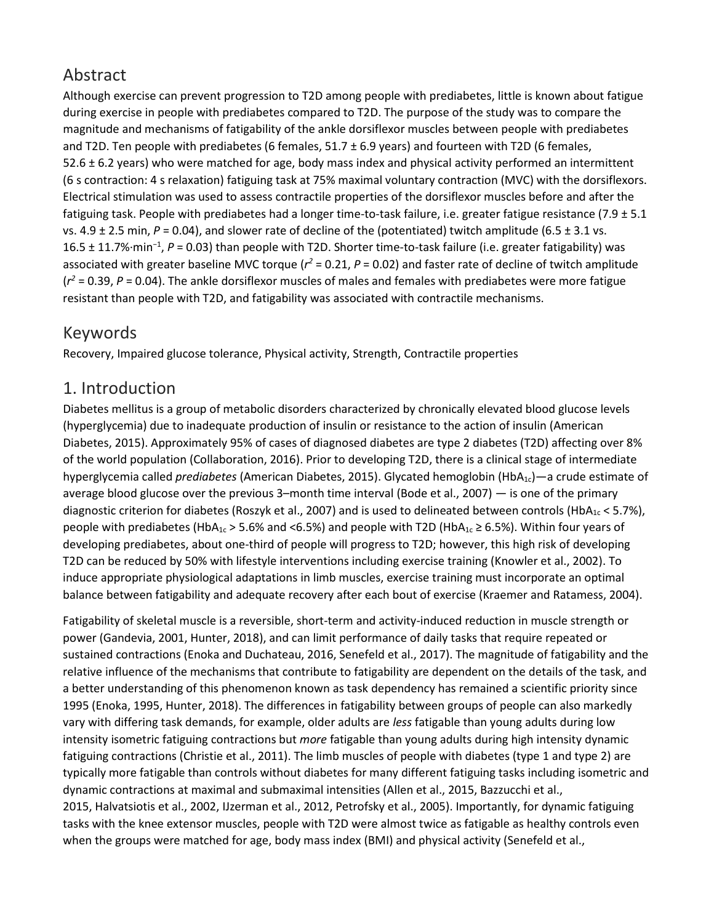# Abstract

Although exercise can prevent progression to T2D among people with prediabetes, little is known about fatigue during exercise in people with prediabetes compared to T2D. The purpose of the study was to compare the magnitude and mechanisms of fatigability of the ankle dorsiflexor muscles between people with prediabetes and T2D. Ten people with prediabetes (6 females,  $51.7 \pm 6.9$  years) and fourteen with T2D (6 females, 52.6 ± 6.2 years) who were matched for age, body mass index and physical activity performed an intermittent (6 s contraction: 4 s relaxation) fatiguing task at 75% maximal voluntary contraction (MVC) with the dorsiflexors. Electrical stimulation was used to assess contractile properties of the dorsiflexor muscles before and after the fatiguing task. People with prediabetes had a longer time-to-task failure, i.e. greater fatigue resistance (7.9 ± 5.1 vs. 4.9 ± 2.5 min, *P* = 0.04), and slower rate of decline of the (potentiated) twitch amplitude (6.5 ± 3.1 vs. 16.5 ± 11.7%·min<sup>−</sup><sup>1</sup> , *P* = 0.03) than people with T2D. Shorter time-to-task failure (i.e. greater fatigability) was associated with greater baseline MVC torque ( $r^2$  = 0.21, P = 0.02) and faster rate of decline of twitch amplitude (*r <sup>2</sup>* = 0.39, *P* = 0.04). The ankle dorsiflexor muscles of males and females with prediabetes were more fatigue resistant than people with T2D, and fatigability was associated with contractile mechanisms.

## Keywords

Recovery, Impaired glucose tolerance, Physical activity, Strength, Contractile properties

## 1. Introduction

Diabetes mellitus is a group of metabolic disorders characterized by chronically elevated blood glucose levels (hyperglycemia) due to inadequate production of insulin or resistance to the action of insulin (American Diabetes, 2015). Approximately 95% of cases of diagnosed diabetes are type 2 diabetes (T2D) affecting over 8% of the world population (Collaboration, 2016). Prior to developing T2D, there is a clinical stage of intermediate hyperglycemia called *prediabetes* (American Diabetes, 2015). Glycated hemoglobin (HbA<sub>1c</sub>)—a crude estimate of average blood glucose over the previous 3–month time interval (Bode et al., 2007) — is one of the primary diagnostic criterion for diabetes (Roszyk et al., 2007) and is used to delineated between controls (HbA<sub>1c</sub> < 5.7%), people with prediabetes (HbA<sub>1c</sub> > 5.6% and <6.5%) and people with T2D (HbA<sub>1c</sub> ≥ 6.5%). Within four years of developing prediabetes, about one-third of people will progress to T2D; however, this high risk of developing T2D can be reduced by 50% with lifestyle interventions including exercise training (Knowler et al., 2002). To induce appropriate physiological adaptations in limb muscles, exercise training must incorporate an optimal balance between fatigability and adequate recovery after each bout of exercise (Kraemer and Ratamess, 2004).

Fatigability of skeletal muscle is a reversible, short-term and activity-induced reduction in muscle strength or power (Gandevia, 2001, Hunter, 2018), and can limit performance of daily tasks that require repeated or sustained contractions (Enoka and Duchateau, 2016, Senefeld et al., 2017). The magnitude of fatigability and the relative influence of the mechanisms that contribute to fatigability are dependent on the details of the task, and a better understanding of this phenomenon known as task dependency has remained a scientific priority since 1995 (Enoka, 1995, Hunter, 2018). The differences in fatigability between groups of people can also markedly vary with differing task demands, for example, older adults are *less* fatigable than young adults during low intensity isometric fatiguing contractions but *more* fatigable than young adults during high intensity dynamic fatiguing contractions (Christie et al., 2011). The limb muscles of people with diabetes (type 1 and type 2) are typically more fatigable than controls without diabetes for many different fatiguing tasks including isometric and dynamic contractions at maximal and submaximal intensities (Allen et al., 2015, Bazzucchi et al., 2015, Halvatsiotis et al., 2002, IJzerman et al., 2012, Petrofsky et al., 2005). Importantly, for dynamic fatiguing tasks with the knee extensor muscles, people with T2D were almost twice as fatigable as healthy controls even when the groups were matched for age, body mass index (BMI) and physical activity (Senefeld et al.,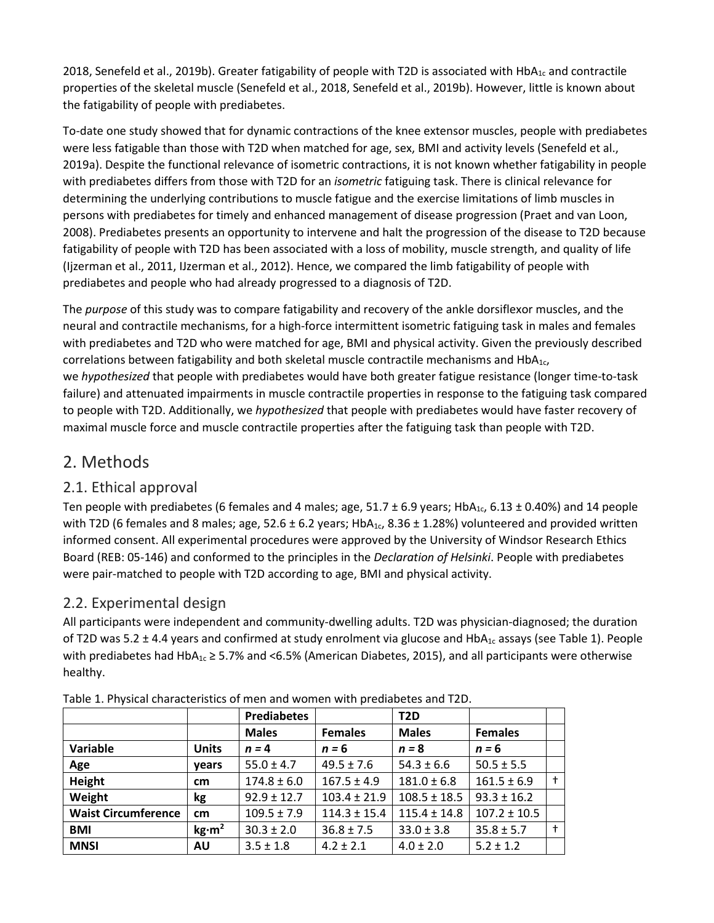2018, Senefeld et al., 2019b). Greater fatigability of people with T2D is associated with HbA<sub>1c</sub> and contractile properties of the skeletal muscle (Senefeld et al., 2018, Senefeld et al., 2019b). However, little is known about the fatigability of people with prediabetes.

To-date one study showed that for dynamic contractions of the knee extensor muscles, people with prediabetes were less fatigable than those with T2D when matched for age, sex, BMI and activity levels (Senefeld et al., 2019a). Despite the functional relevance of isometric contractions, it is not known whether fatigability in people with prediabetes differs from those with T2D for an *isometric* fatiguing task. There is clinical relevance for determining the underlying contributions to muscle fatigue and the exercise limitations of limb muscles in persons with prediabetes for timely and enhanced management of disease progression (Praet and van Loon, 2008). Prediabetes presents an opportunity to intervene and halt the progression of the disease to T2D because fatigability of people with T2D has been associated with a loss of mobility, muscle strength, and quality of life (Ijzerman et al., 2011, IJzerman et al., 2012). Hence, we compared the limb fatigability of people with prediabetes and people who had already progressed to a diagnosis of T2D.

The *purpose* of this study was to compare fatigability and recovery of the ankle dorsiflexor muscles, and the neural and contractile mechanisms, for a high-force intermittent isometric fatiguing task in males and females with prediabetes and T2D who were matched for age, BMI and physical activity. Given the previously described correlations between fatigability and both skeletal muscle contractile mechanisms and HbA1c, we *hypothesized* that people with prediabetes would have both greater fatigue resistance (longer time-to-task failure) and attenuated impairments in muscle contractile properties in response to the fatiguing task compared to people with T2D. Additionally, we *hypothesized* that people with prediabetes would have faster recovery of maximal muscle force and muscle contractile properties after the fatiguing task than people with T2D.

## 2. Methods

#### 2.1. Ethical approval

Ten people with prediabetes (6 females and 4 males; age,  $51.7 \pm 6.9$  years; HbA<sub>1c</sub>,  $6.13 \pm 0.40$ %) and 14 people with T2D (6 females and 8 males; age,  $52.6 \pm 6.2$  years; HbA<sub>1c</sub>, 8.36  $\pm$  1.28%) volunteered and provided written informed consent. All experimental procedures were approved by the University of Windsor Research Ethics Board (REB: 05-146) and conformed to the principles in the *Declaration of Helsinki*. People with prediabetes were pair-matched to people with T2D according to age, BMI and physical activity.

#### 2.2. Experimental design

All participants were independent and community-dwelling adults. T2D was physician-diagnosed; the duration of T2D was 5.2  $\pm$  4.4 years and confirmed at study enrolment via glucose and HbA<sub>1c</sub> assays (see Table 1). People with prediabetes had HbA<sub>1c</sub> ≥ 5.7% and <6.5% (American Diabetes, 2015), and all participants were otherwise healthy.

|                            |                   | <b>Prediabetes</b> |                  | T <sub>2</sub> D |                  |            |
|----------------------------|-------------------|--------------------|------------------|------------------|------------------|------------|
|                            |                   | <b>Males</b>       | <b>Females</b>   | <b>Males</b>     | <b>Females</b>   |            |
| Variable                   | <b>Units</b>      | $n = 4$            | $n = 6$          | $n = 8$          | $n = 6$          |            |
| Age                        | vears             | $55.0 \pm 4.7$     | $49.5 \pm 7.6$   | $54.3 \pm 6.6$   | $50.5 \pm 5.5$   |            |
| Height                     | cm                | $174.8 \pm 6.0$    | $167.5 \pm 4.9$  | $181.0 \pm 6.8$  | $161.5 \pm 6.9$  | $\ddagger$ |
| Weight                     | kg                | $92.9 \pm 12.7$    | $103.4 \pm 21.9$ | $108.5 \pm 18.5$ | $93.3 \pm 16.2$  |            |
| <b>Waist Circumference</b> | cm                | $109.5 \pm 7.9$    | $114.3 \pm 15.4$ | $115.4 \pm 14.8$ | $107.2 \pm 10.5$ |            |
| <b>BMI</b>                 | kg·m <sup>2</sup> | $30.3 \pm 2.0$     | $36.8 \pm 7.5$   | $33.0 \pm 3.8$   | $35.8 \pm 5.7$   | $\ddagger$ |
| <b>MNSI</b>                | <b>AU</b>         | $3.5 \pm 1.8$      | $4.2 \pm 2.1$    | $4.0 \pm 2.0$    | $5.2 \pm 1.2$    |            |

Table 1. Physical characteristics of men and women with prediabetes and T2D.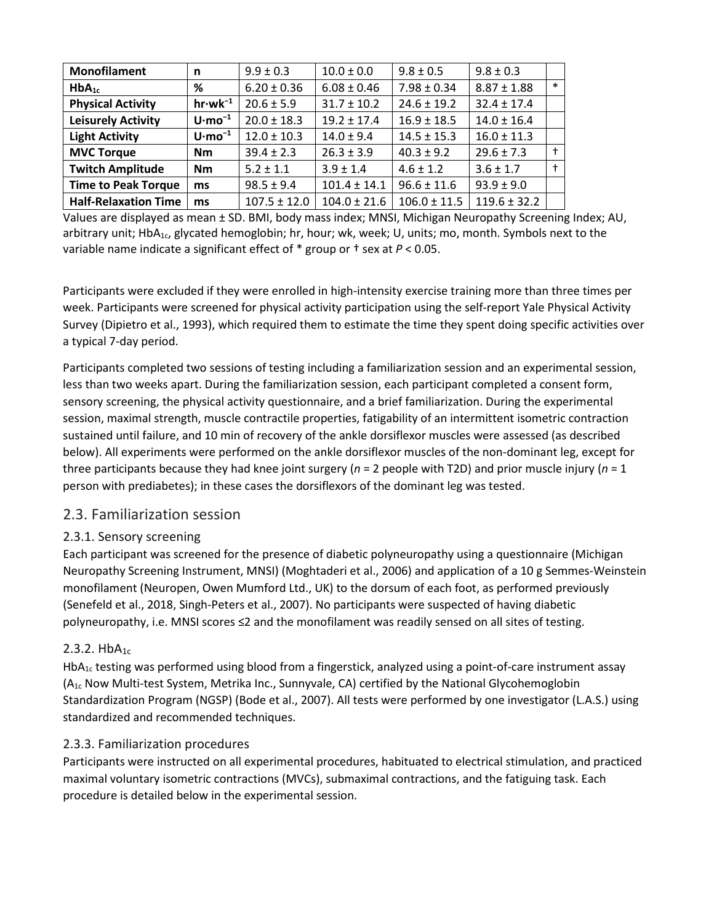| <b>Monofilament</b>         | n                        | $9.9 \pm 0.3$    | $10.0 \pm 0.0$   | $9.8 \pm 0.5$    | $9.8 \pm 0.3$    |        |
|-----------------------------|--------------------------|------------------|------------------|------------------|------------------|--------|
| $HbA_{1c}$                  | %                        | $6.20 \pm 0.36$  | $6.08 \pm 0.46$  | $7.98 \pm 0.34$  | $8.87 \pm 1.88$  | $\ast$ |
| <b>Physical Activity</b>    | $hr·wk^{-1}$             | $20.6 \pm 5.9$   | $31.7 \pm 10.2$  | $24.6 \pm 19.2$  | $32.4 \pm 17.4$  |        |
| <b>Leisurely Activity</b>   | $U \cdot \text{mo}^{-1}$ | $20.0 \pm 18.3$  | $19.2 \pm 17.4$  | $16.9 \pm 18.5$  | $14.0 \pm 16.4$  |        |
| <b>Light Activity</b>       | $U \cdot \text{mo}^{-1}$ | $12.0 \pm 10.3$  | $14.0 \pm 9.4$   | $14.5 \pm 15.3$  | $16.0 \pm 11.3$  |        |
| <b>MVC Torque</b>           | <b>Nm</b>                | $39.4 \pm 2.3$   | $26.3 \pm 3.9$   | $40.3 \pm 9.2$   | $29.6 \pm 7.3$   |        |
| <b>Twitch Amplitude</b>     | Nm                       | $5.2 \pm 1.1$    | $3.9 \pm 1.4$    | $4.6 \pm 1.2$    | $3.6 \pm 1.7$    |        |
| <b>Time to Peak Torque</b>  | ms                       | $98.5 \pm 9.4$   | $101.4 \pm 14.1$ | $96.6 \pm 11.6$  | $93.9 \pm 9.0$   |        |
| <b>Half-Relaxation Time</b> | ms                       | $107.5 \pm 12.0$ | $104.0 \pm 21.6$ | $106.0 \pm 11.5$ | $119.6 \pm 32.2$ |        |

Values are displayed as mean ± SD. BMI, body mass index; MNSI, Michigan Neuropathy Screening Index; AU, arbitrary unit;  $HbA_{1c}$ , glycated hemoglobin; hr, hour; wk, week; U, units; mo, month. Symbols next to the variable name indicate a significant effect of \* group or † sex at *P* < 0.05.

Participants were excluded if they were enrolled in high-intensity exercise training more than three times per week. Participants were screened for physical activity participation using the self-report Yale Physical Activity Survey (Dipietro et al., 1993), which required them to estimate the time they spent doing specific activities over a typical 7-day period.

Participants completed two sessions of testing including a familiarization session and an experimental session, less than two weeks apart. During the familiarization session, each participant completed a consent form, sensory screening, the physical activity questionnaire, and a brief familiarization. During the experimental session, maximal strength, muscle contractile properties, fatigability of an intermittent isometric contraction sustained until failure, and 10 min of recovery of the ankle dorsiflexor muscles were assessed (as described below). All experiments were performed on the ankle dorsiflexor muscles of the non-dominant leg, except for three participants because they had knee joint surgery (*n* = 2 people with T2D) and prior muscle injury (*n* = 1 person with prediabetes); in these cases the dorsiflexors of the dominant leg was tested.

#### 2.3. Familiarization session

#### 2.3.1. Sensory screening

Each participant was screened for the presence of diabetic polyneuropathy using a questionnaire (Michigan Neuropathy Screening Instrument, MNSI) (Moghtaderi et al., 2006) and application of a 10 g Semmes-Weinstein monofilament (Neuropen, Owen Mumford Ltd., UK) to the dorsum of each foot, as performed previously (Senefeld et al., 2018, Singh-Peters et al., 2007). No participants were suspected of having diabetic polyneuropathy, i.e. MNSI scores ≤2 and the monofilament was readily sensed on all sites of testing.

#### 2.3.2.  $HbA_{1c}$

HbA1c testing was performed using blood from a fingerstick, analyzed using a point-of-care instrument assay  $(A_{1c}$  Now Multi-test System, Metrika Inc., Sunnyvale, CA) certified by the National Glycohemoglobin Standardization Program (NGSP) (Bode et al., 2007). All tests were performed by one investigator (L.A.S.) using standardized and recommended techniques.

#### 2.3.3. Familiarization procedures

Participants were instructed on all experimental procedures, habituated to electrical stimulation, and practiced maximal voluntary isometric contractions (MVCs), submaximal contractions, and the fatiguing task. Each procedure is detailed below in the experimental session.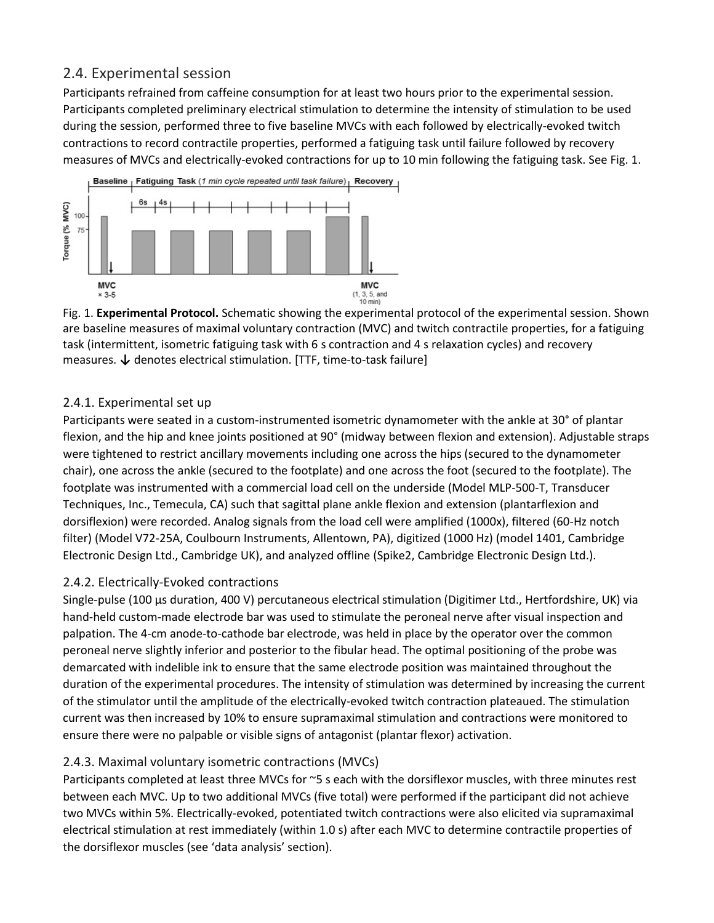#### 2.4. Experimental session

Participants refrained from caffeine consumption for at least two hours prior to the experimental session. Participants completed preliminary electrical stimulation to determine the intensity of stimulation to be used during the session, performed three to five baseline MVCs with each followed by electrically-evoked twitch contractions to record contractile properties, performed a fatiguing task until failure followed by recovery measures of MVCs and electrically-evoked contractions for up to 10 min following the fatiguing task. See Fig. 1.



Fig. 1. **Experimental Protocol.** Schematic showing the experimental protocol of the experimental session. Shown are baseline measures of maximal voluntary contraction (MVC) and twitch contractile properties, for a fatiguing task (intermittent, isometric fatiguing task with 6 s contraction and 4 s relaxation cycles) and recovery measures. **↓** denotes electrical stimulation. [TTF, time-to-task failure]

#### 2.4.1. Experimental set up

Participants were seated in a custom-instrumented isometric dynamometer with the ankle at 30° of plantar flexion, and the hip and knee joints positioned at 90° (midway between flexion and extension). Adjustable straps were tightened to restrict ancillary movements including one across the hips (secured to the dynamometer chair), one across the ankle (secured to the footplate) and one across the foot (secured to the footplate). The footplate was instrumented with a commercial load cell on the underside (Model MLP-500-T, Transducer Techniques, Inc., Temecula, CA) such that sagittal plane ankle flexion and extension (plantarflexion and dorsiflexion) were recorded. Analog signals from the load cell were amplified (1000x), filtered (60-Hz notch filter) (Model V72-25A, Coulbourn Instruments, Allentown, PA), digitized (1000 Hz) (model 1401, Cambridge Electronic Design Ltd., Cambridge UK), and analyzed offline (Spike2, Cambridge Electronic Design Ltd.).

#### 2.4.2. Electrically-Evoked contractions

Single-pulse (100 µs duration, 400 V) percutaneous electrical stimulation (Digitimer Ltd., Hertfordshire, UK) via hand-held custom-made electrode bar was used to stimulate the peroneal nerve after visual inspection and palpation. The 4-cm anode-to-cathode bar electrode, was held in place by the operator over the common peroneal nerve slightly inferior and posterior to the fibular head. The optimal positioning of the probe was demarcated with indelible ink to ensure that the same electrode position was maintained throughout the duration of the experimental procedures. The intensity of stimulation was determined by increasing the current of the stimulator until the amplitude of the electrically-evoked twitch contraction plateaued. The stimulation current was then increased by 10% to ensure supramaximal stimulation and contractions were monitored to ensure there were no palpable or visible signs of antagonist (plantar flexor) activation.

#### 2.4.3. Maximal voluntary isometric contractions (MVCs)

Participants completed at least three MVCs for ~5 s each with the dorsiflexor muscles, with three minutes rest between each MVC. Up to two additional MVCs (five total) were performed if the participant did not achieve two MVCs within 5%. Electrically-evoked, potentiated twitch contractions were also elicited via supramaximal electrical stimulation at rest immediately (within 1.0 s) after each MVC to determine contractile properties of the dorsiflexor muscles (see 'data analysis' section).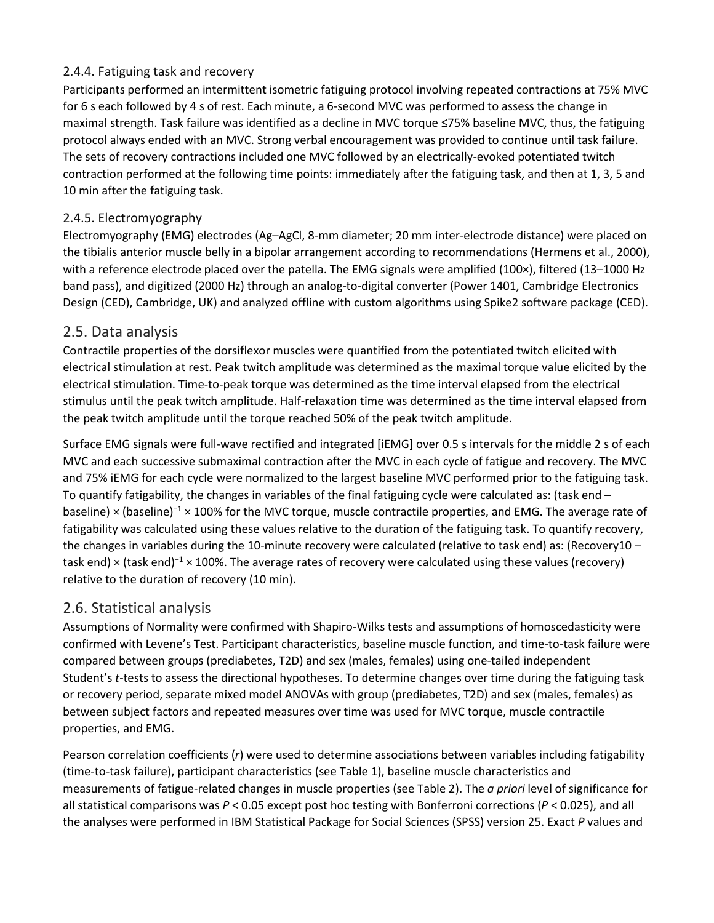#### 2.4.4. Fatiguing task and recovery

Participants performed an intermittent isometric fatiguing protocol involving repeated contractions at 75% MVC for 6 s each followed by 4 s of rest. Each minute, a 6-second MVC was performed to assess the change in maximal strength. Task failure was identified as a decline in MVC torque ≤75% baseline MVC, thus, the fatiguing protocol always ended with an MVC. Strong verbal encouragement was provided to continue until task failure. The sets of recovery contractions included one MVC followed by an electrically-evoked potentiated twitch contraction performed at the following time points: immediately after the fatiguing task, and then at 1, 3, 5 and 10 min after the fatiguing task.

#### 2.4.5. Electromyography

Electromyography (EMG) electrodes (Ag–AgCl, 8-mm diameter; 20 mm inter-electrode distance) were placed on the tibialis anterior muscle belly in a bipolar arrangement according to recommendations (Hermens et al., 2000), with a reference electrode placed over the patella. The EMG signals were amplified (100×), filtered (13–1000 Hz band pass), and digitized (2000 Hz) through an analog-to-digital converter (Power 1401, Cambridge Electronics Design (CED), Cambridge, UK) and analyzed offline with custom algorithms using Spike2 software package (CED).

#### 2.5. Data analysis

Contractile properties of the dorsiflexor muscles were quantified from the potentiated twitch elicited with electrical stimulation at rest. Peak twitch amplitude was determined as the maximal torque value elicited by the electrical stimulation. Time-to-peak torque was determined as the time interval elapsed from the electrical stimulus until the peak twitch amplitude. Half-relaxation time was determined as the time interval elapsed from the peak twitch amplitude until the torque reached 50% of the peak twitch amplitude.

Surface EMG signals were full-wave rectified and integrated [iEMG] over 0.5 s intervals for the middle 2 s of each MVC and each successive submaximal contraction after the MVC in each cycle of fatigue and recovery. The MVC and 75% iEMG for each cycle were normalized to the largest baseline MVC performed prior to the fatiguing task. To quantify fatigability, the changes in variables of the final fatiguing cycle were calculated as: (task end – baseline) × (baseline)<sup>-1</sup> × 100% for the MVC torque, muscle contractile properties, and EMG. The average rate of fatigability was calculated using these values relative to the duration of the fatiguing task. To quantify recovery, the changes in variables during the 10-minute recovery were calculated (relative to task end) as: (Recovery10 – task end) × (task end)<sup>−</sup><sup>1</sup> × 100%. The average rates of recovery were calculated using these values (recovery) relative to the duration of recovery (10 min).

#### 2.6. Statistical analysis

Assumptions of Normality were confirmed with Shapiro-Wilks tests and assumptions of homoscedasticity were confirmed with Levene's Test. Participant characteristics, baseline muscle function, and time-to-task failure were compared between groups (prediabetes, T2D) and sex (males, females) using one-tailed independent Student's *t*-tests to assess the directional hypotheses. To determine changes over time during the fatiguing task or recovery period, separate mixed model ANOVAs with group (prediabetes, T2D) and sex (males, females) as between subject factors and repeated measures over time was used for MVC torque, muscle contractile properties, and EMG.

Pearson correlation coefficients (*r*) were used to determine associations between variables including fatigability (time-to-task failure), participant characteristics (see Table 1), baseline muscle characteristics and measurements of fatigue-related changes in muscle properties (see Table 2). The *a priori* level of significance for all statistical comparisons was *P* < 0.05 except post hoc testing with Bonferroni corrections (*P* < 0.025), and all the analyses were performed in IBM Statistical Package for Social Sciences (SPSS) version 25. Exact *P* values and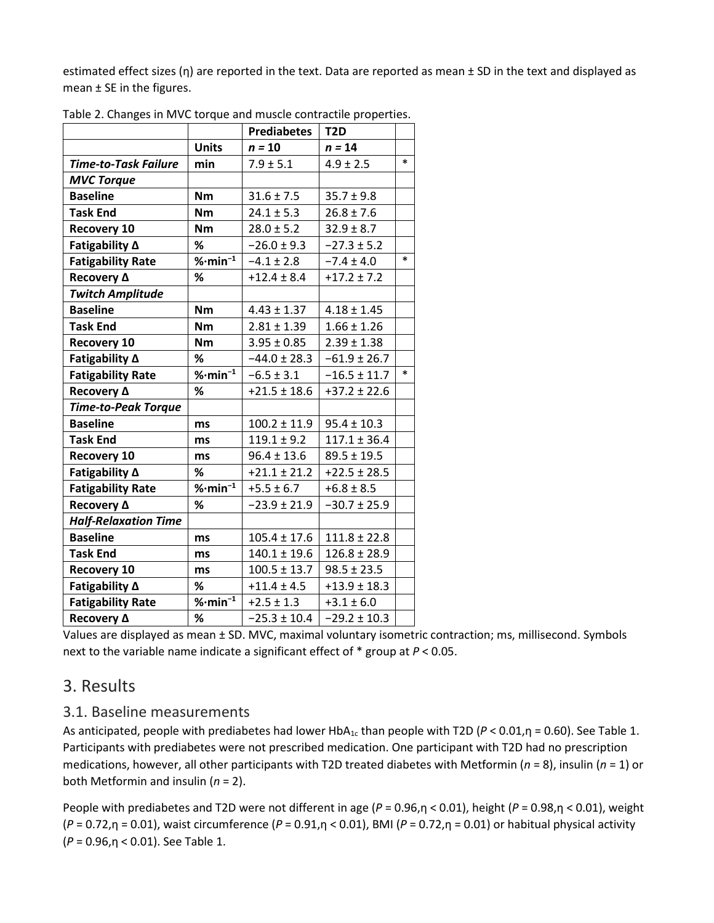estimated effect sizes (η) are reported in the text. Data are reported as mean ± SD in the text and displayed as mean ± SE in the figures.

|                             |                                             | <b>Prediabetes</b> | T <sub>2</sub> D |        |
|-----------------------------|---------------------------------------------|--------------------|------------------|--------|
|                             | <b>Units</b>                                | $n = 10$           | $n = 14$         |        |
| <b>Time-to-Task Failure</b> | min                                         | $7.9 \pm 5.1$      | $4.9 \pm 2.5$    | $\ast$ |
| <b>MVC Torque</b>           |                                             |                    |                  |        |
| <b>Baseline</b>             | Nm                                          | $31.6 \pm 7.5$     | $35.7 \pm 9.8$   |        |
| <b>Task End</b>             | <b>Nm</b>                                   | $24.1 \pm 5.3$     | $26.8 \pm 7.6$   |        |
| <b>Recovery 10</b>          | <b>Nm</b>                                   | $28.0 \pm 5.2$     | $32.9 \pm 8.7$   |        |
| Fatigability ∆              | ℅                                           | $-26.0 \pm 9.3$    | $-27.3 \pm 5.2$  |        |
| <b>Fatigability Rate</b>    | $%$ ·min <sup>-1</sup>                      | $-4.1 \pm 2.8$     | $-7.4 \pm 4.0$   | $\ast$ |
| Recovery $\Delta$           | %                                           | $+12.4 \pm 8.4$    | $+17.2 \pm 7.2$  |        |
| <b>Twitch Amplitude</b>     |                                             |                    |                  |        |
| <b>Baseline</b>             | <b>Nm</b>                                   | $4.43 \pm 1.37$    | $4.18 \pm 1.45$  |        |
| <b>Task End</b>             | <b>Nm</b>                                   | $2.81 \pm 1.39$    | $1.66 \pm 1.26$  |        |
| <b>Recovery 10</b>          | Nm                                          | $3.95 \pm 0.85$    | $2.39 \pm 1.38$  |        |
| Fatigability ∆              | %                                           | $-44.0 \pm 28.3$   | $-61.9 \pm 26.7$ |        |
| <b>Fatigability Rate</b>    | $%$ ·min <sup>-1</sup>                      | $-6.5 \pm 3.1$     | $-16.5 \pm 11.7$ | $\ast$ |
| Recovery $\Delta$           | $\%$                                        | $+21.5 \pm 18.6$   | $+37.2 \pm 22.6$ |        |
| <b>Time-to-Peak Torque</b>  |                                             |                    |                  |        |
| <b>Baseline</b>             | ms                                          | $100.2 \pm 11.9$   | $95.4 \pm 10.3$  |        |
| <b>Task End</b>             | ms                                          | $119.1 \pm 9.2$    | $117.1 \pm 36.4$ |        |
| <b>Recovery 10</b>          | ms                                          | $96.4 \pm 13.6$    | $89.5 \pm 19.5$  |        |
| Fatigability ∆              | %                                           | $+21.1 \pm 21.2$   | $+22.5 \pm 28.5$ |        |
| <b>Fatigability Rate</b>    | $\overline{\mathcal{C}}$ ·min <sup>-1</sup> | $+5.5 \pm 6.7$     | $+6.8 \pm 8.5$   |        |
| Recovery $\Delta$           | %                                           | $-23.9 \pm 21.9$   | $-30.7 \pm 25.9$ |        |
| <b>Half-Relaxation Time</b> |                                             |                    |                  |        |
| <b>Baseline</b>             | ms                                          | $105.4 \pm 17.6$   | $111.8 \pm 22.8$ |        |
| <b>Task End</b>             | ms                                          | $140.1 \pm 19.6$   | $126.8 \pm 28.9$ |        |
| <b>Recovery 10</b>          | ms                                          | $100.5 \pm 13.7$   | $98.5 \pm 23.5$  |        |
| Fatigability ∆              | %                                           | $+11.4 \pm 4.5$    | $+13.9 \pm 18.3$ |        |
| <b>Fatigability Rate</b>    | $%$ ·min <sup>-1</sup>                      | $+2.5 \pm 1.3$     | $+3.1 \pm 6.0$   |        |
| Recovery A                  | %                                           | $-25.3 \pm 10.4$   | $-29.2 \pm 10.3$ |        |

Table 2. Changes in MVC torque and muscle contractile properties.

Values are displayed as mean ± SD. MVC, maximal voluntary isometric contraction; ms, millisecond. Symbols next to the variable name indicate a significant effect of \* group at *P* < 0.05.

### 3. Results

#### 3.1. Baseline measurements

As anticipated, people with prediabetes had lower HbA<sub>1c</sub> than people with T2D (*P* < 0.01,η = 0.60). See Table 1. Participants with prediabetes were not prescribed medication. One participant with T2D had no prescription medications, however, all other participants with T2D treated diabetes with Metformin (*n* = 8), insulin (*n* = 1) or both Metformin and insulin (*n* = 2).

People with prediabetes and T2D were not different in age (*P* = 0.96,η < 0.01), height (*P* = 0.98,η < 0.01), weight (*P* = 0.72,η = 0.01), waist circumference (*P* = 0.91,η < 0.01), BMI (*P* = 0.72,η = 0.01) or habitual physical activity (*P* = 0.96,η < 0.01). See Table 1.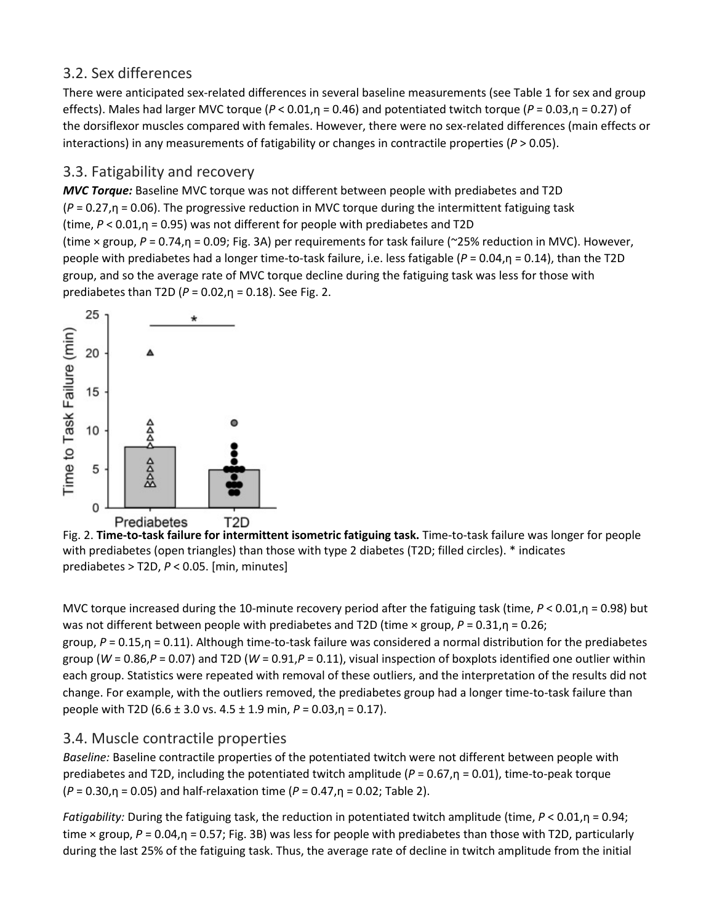#### 3.2. Sex differences

There were anticipated sex-related differences in several baseline measurements (see Table 1 for sex and group effects). Males had larger MVC torque (*P* < 0.01,η = 0.46) and potentiated twitch torque (*P* = 0.03,η = 0.27) of the dorsiflexor muscles compared with females. However, there were no sex-related differences (main effects or interactions) in any measurements of fatigability or changes in contractile properties ( $P > 0.05$ ).

#### 3.3. Fatigability and recovery

*MVC Torque:* Baseline MVC torque was not different between people with prediabetes and T2D (*P* = 0.27,η = 0.06). The progressive reduction in MVC torque during the intermittent fatiguing task (time, *P* < 0.01,η = 0.95) was not different for people with prediabetes and T2D (time × group, *P* = 0.74,η = 0.09; Fig. 3A) per requirements for task failure (~25% reduction in MVC). However, people with prediabetes had a longer time-to-task failure, i.e. less fatigable (*P* = 0.04,η = 0.14), than the T2D group, and so the average rate of MVC torque decline during the fatiguing task was less for those with prediabetes than T2D (*P* = 0.02,η = 0.18). See Fig. 2.



Fig. 2. **Time-to-task failure for intermittent isometric fatiguing task.** Time-to-task failure was longer for people with prediabetes (open triangles) than those with type 2 diabetes (T2D; filled circles). \* indicates prediabetes > T2D, *P* < 0.05. [min, minutes]

MVC torque increased during the 10-minute recovery period after the fatiguing task (time, *P* < 0.01,η = 0.98) but was not different between people with prediabetes and T2D (time × group, *P* = 0.31,η = 0.26; group, *P* = 0.15,η = 0.11). Although time-to-task failure was considered a normal distribution for the prediabetes group (*W* = 0.86,*P* = 0.07) and T2D (*W* = 0.91,*P* = 0.11), visual inspection of boxplots identified one outlier within each group. Statistics were repeated with removal of these outliers, and the interpretation of the results did not change. For example, with the outliers removed, the prediabetes group had a longer time-to-task failure than people with T2D (6.6 ± 3.0 vs. 4.5 ± 1.9 min, *P* = 0.03,η = 0.17).

#### 3.4. Muscle contractile properties

*Baseline:* Baseline contractile properties of the potentiated twitch were not different between people with prediabetes and T2D, including the potentiated twitch amplitude (*P* = 0.67,η = 0.01), time-to-peak torque (*P* = 0.30,η = 0.05) and half-relaxation time (*P* = 0.47,η = 0.02; Table 2).

*Fatigability:* During the fatiguing task, the reduction in potentiated twitch amplitude (time, *P* < 0.01,η = 0.94; time × group, *P* = 0.04,η = 0.57; Fig. 3B) was less for people with prediabetes than those with T2D, particularly during the last 25% of the fatiguing task. Thus, the average rate of decline in twitch amplitude from the initial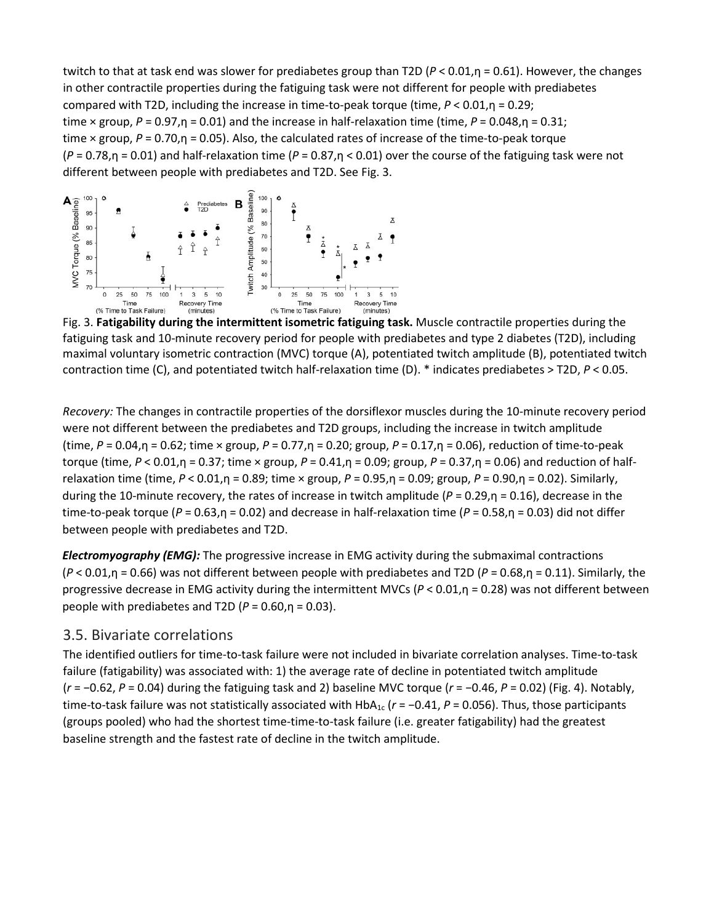twitch to that at task end was slower for prediabetes group than T2D (*P* < 0.01,η = 0.61). However, the changes in other contractile properties during the fatiguing task were not different for people with prediabetes compared with T2D, including the increase in time-to-peak torque (time, *P* < 0.01,η = 0.29; time × group,  $P = 0.97$ ,  $p = 0.01$ ) and the increase in half-relaxation time (time,  $P = 0.048$ ,  $p = 0.31$ ; time × group, *P* = 0.70,η = 0.05). Also, the calculated rates of increase of the time-to-peak torque  $(P = 0.78, \eta = 0.01)$  and half-relaxation time  $(P = 0.87, \eta < 0.01)$  over the course of the fatiguing task were not different between people with prediabetes and T2D. See Fig. 3.



Fig. 3. **Fatigability during the intermittent isometric fatiguing task.** Muscle contractile properties during the fatiguing task and 10-minute recovery period for people with prediabetes and type 2 diabetes (T2D), including maximal voluntary isometric contraction (MVC) torque (A), potentiated twitch amplitude (B), potentiated twitch contraction time (C), and potentiated twitch half-relaxation time (D). \* indicates prediabetes > T2D, *P* < 0.05.

*Recovery:* The changes in contractile properties of the dorsiflexor muscles during the 10-minute recovery period were not different between the prediabetes and T2D groups, including the increase in twitch amplitude (time, *P* = 0.04,η = 0.62; time × group, *P* = 0.77,η = 0.20; group, *P* = 0.17,η = 0.06), reduction of time-to-peak torque (time, *P* < 0.01,η = 0.37; time × group, *P* = 0.41,η = 0.09; group, *P* = 0.37,η = 0.06) and reduction of halfrelaxation time (time, *P* < 0.01,η = 0.89; time × group, *P* = 0.95,η = 0.09; group, *P* = 0.90,η = 0.02). Similarly, during the 10-minute recovery, the rates of increase in twitch amplitude (*P* = 0.29,η = 0.16), decrease in the time-to-peak torque (*P* = 0.63,η = 0.02) and decrease in half-relaxation time (*P* = 0.58,η = 0.03) did not differ between people with prediabetes and T2D.

*Electromyography (EMG):* The progressive increase in EMG activity during the submaximal contractions (*P* < 0.01,η = 0.66) was not different between people with prediabetes and T2D (*P* = 0.68,η = 0.11). Similarly, the progressive decrease in EMG activity during the intermittent MVCs (*P* < 0.01,η = 0.28) was not different between people with prediabetes and T2D  $(P = 0.60, n = 0.03)$ .

#### 3.5. Bivariate correlations

The identified outliers for time-to-task failure were not included in bivariate correlation analyses. Time-to-task failure (fatigability) was associated with: 1) the average rate of decline in potentiated twitch amplitude (*r* = −0.62, *P* = 0.04) during the fatiguing task and 2) baseline MVC torque (*r* = −0.46, *P* = 0.02) (Fig. 4). Notably, time-to-task failure was not statistically associated with  $HbA_{1c}$  ( $r = -0.41$ ,  $P = 0.056$ ). Thus, those participants (groups pooled) who had the shortest time-time-to-task failure (i.e. greater fatigability) had the greatest baseline strength and the fastest rate of decline in the twitch amplitude.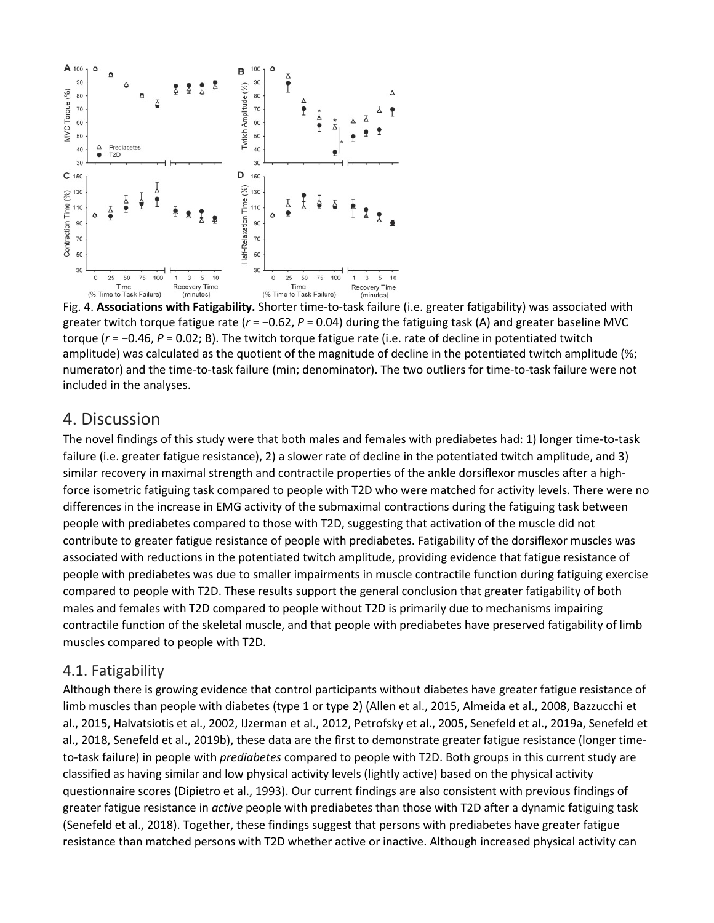

Fig. 4. **Associations with Fatigability.** Shorter time-to-task failure (i.e. greater fatigability) was associated with greater twitch torque fatigue rate ( $r = -0.62$ ,  $P = 0.04$ ) during the fatiguing task (A) and greater baseline MVC torque (*r* = −0.46, *P* = 0.02; B). The twitch torque fatigue rate (i.e. rate of decline in potentiated twitch amplitude) was calculated as the quotient of the magnitude of decline in the potentiated twitch amplitude (%; numerator) and the time-to-task failure (min; denominator). The two outliers for time-to-task failure were not included in the analyses.

#### 4. Discussion

The novel findings of this study were that both males and females with prediabetes had: 1) longer time-to-task failure (i.e. greater fatigue resistance), 2) a slower rate of decline in the potentiated twitch amplitude, and 3) similar recovery in maximal strength and contractile properties of the ankle dorsiflexor muscles after a highforce isometric fatiguing task compared to people with T2D who were matched for activity levels. There were no differences in the increase in EMG activity of the submaximal contractions during the fatiguing task between people with prediabetes compared to those with T2D, suggesting that activation of the muscle did not contribute to greater fatigue resistance of people with prediabetes. Fatigability of the dorsiflexor muscles was associated with reductions in the potentiated twitch amplitude, providing evidence that fatigue resistance of people with prediabetes was due to smaller impairments in muscle contractile function during fatiguing exercise compared to people with T2D. These results support the general conclusion that greater fatigability of both males and females with T2D compared to people without T2D is primarily due to mechanisms impairing contractile function of the skeletal muscle, and that people with prediabetes have preserved fatigability of limb muscles compared to people with T2D.

#### 4.1. Fatigability

Although there is growing evidence that control participants without diabetes have greater fatigue resistance of limb muscles than people with diabetes (type 1 or type 2) (Allen et al., 2015, Almeida et al., 2008, Bazzucchi et al., 2015, Halvatsiotis et al., 2002, IJzerman et al., 2012, Petrofsky et al., 2005, Senefeld et al., 2019a, Senefeld et al., 2018, Senefeld et al., 2019b), these data are the first to demonstrate greater fatigue resistance (longer timeto-task failure) in people with *prediabetes* compared to people with T2D. Both groups in this current study are classified as having similar and low physical activity levels (lightly active) based on the physical activity questionnaire scores (Dipietro et al., 1993). Our current findings are also consistent with previous findings of greater fatigue resistance in *active* people with prediabetes than those with T2D after a dynamic fatiguing task (Senefeld et al., 2018). Together, these findings suggest that persons with prediabetes have greater fatigue resistance than matched persons with T2D whether active or inactive. Although increased physical activity can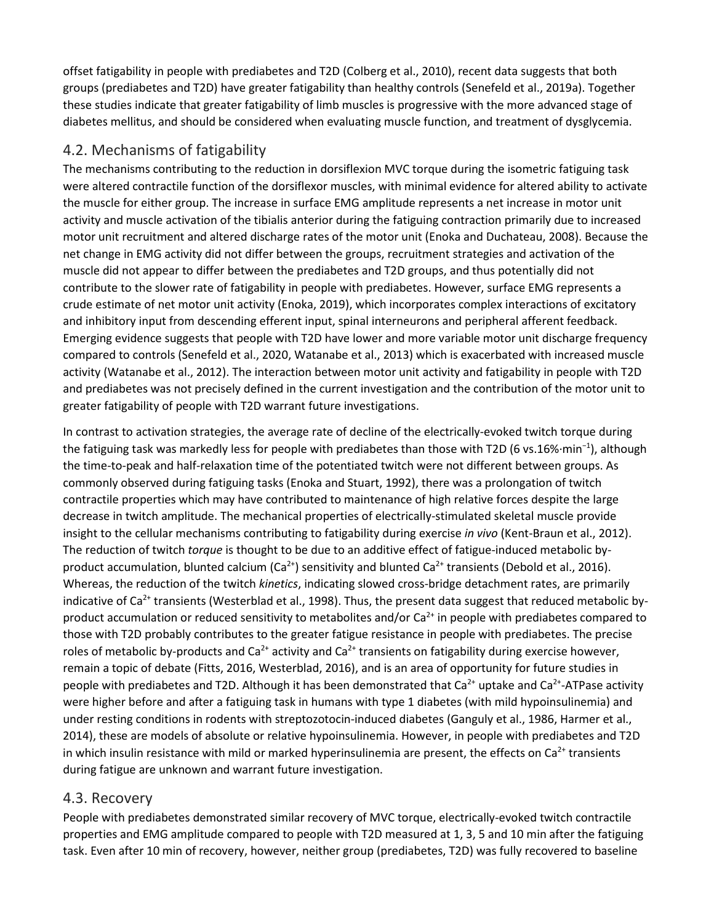offset fatigability in people with prediabetes and T2D (Colberg et al., 2010), recent data suggests that both groups (prediabetes and T2D) have greater fatigability than healthy controls (Senefeld et al., 2019a). Together these studies indicate that greater fatigability of limb muscles is progressive with the more advanced stage of diabetes mellitus, and should be considered when evaluating muscle function, and treatment of dysglycemia.

#### 4.2. Mechanisms of fatigability

The mechanisms contributing to the reduction in dorsiflexion MVC torque during the isometric fatiguing task were altered contractile function of the dorsiflexor muscles, with minimal evidence for altered ability to activate the muscle for either group. The increase in surface EMG amplitude represents a net increase in motor unit activity and muscle activation of the tibialis anterior during the fatiguing contraction primarily due to increased motor unit recruitment and altered discharge rates of the motor unit (Enoka and Duchateau, 2008). Because the net change in EMG activity did not differ between the groups, recruitment strategies and activation of the muscle did not appear to differ between the prediabetes and T2D groups, and thus potentially did not contribute to the slower rate of fatigability in people with prediabetes. However, surface EMG represents a crude estimate of net motor unit activity (Enoka, 2019), which incorporates complex interactions of excitatory and inhibitory input from descending efferent input, spinal interneurons and peripheral afferent feedback. Emerging evidence suggests that people with T2D have lower and more variable motor unit discharge frequency compared to controls (Senefeld et al., 2020, Watanabe et al., 2013) which is exacerbated with increased muscle activity (Watanabe et al., 2012). The interaction between motor unit activity and fatigability in people with T2D and prediabetes was not precisely defined in the current investigation and the contribution of the motor unit to greater fatigability of people with T2D warrant future investigations.

In contrast to activation strategies, the average rate of decline of the electrically-evoked twitch torque during the fatiguing task was markedly less for people with prediabetes than those with T2D (6 vs.16%·min<sup>-1</sup>), although the time-to-peak and half-relaxation time of the potentiated twitch were not different between groups. As commonly observed during fatiguing tasks (Enoka and Stuart, 1992), there was a prolongation of twitch contractile properties which may have contributed to maintenance of high relative forces despite the large decrease in twitch amplitude. The mechanical properties of electrically-stimulated skeletal muscle provide insight to the cellular mechanisms contributing to fatigability during exercise *in vivo* (Kent-Braun et al., 2012). The reduction of twitch *torque* is thought to be due to an additive effect of fatigue-induced metabolic byproduct accumulation, blunted calcium  $(Ca^{2+})$  sensitivity and blunted  $Ca^{2+}$  transients (Debold et al., 2016). Whereas, the reduction of the twitch *kinetics*, indicating slowed cross-bridge detachment rates, are primarily indicative of  $Ca^{2+}$  transients (Westerblad et al., 1998). Thus, the present data suggest that reduced metabolic byproduct accumulation or reduced sensitivity to metabolites and/or  $Ca<sup>2+</sup>$  in people with prediabetes compared to those with T2D probably contributes to the greater fatigue resistance in people with prediabetes. The precise roles of metabolic by-products and Ca<sup>2+</sup> activity and Ca<sup>2+</sup> transients on fatigability during exercise however, remain a topic of debate (Fitts, 2016, Westerblad, 2016), and is an area of opportunity for future studies in people with prediabetes and T2D. Although it has been demonstrated that  $Ca^{2+}$  uptake and  $Ca^{2+}$ -ATPase activity were higher before and after a fatiguing task in humans with type 1 diabetes (with mild hypoinsulinemia) and under resting conditions in rodents with streptozotocin-induced diabetes (Ganguly et al., 1986, Harmer et al., 2014), these are models of absolute or relative hypoinsulinemia. However, in people with prediabetes and T2D in which insulin resistance with mild or marked hyperinsulinemia are present, the effects on  $Ca<sup>2+</sup>$  transients during fatigue are unknown and warrant future investigation.

#### 4.3. Recovery

People with prediabetes demonstrated similar recovery of MVC torque, electrically-evoked twitch contractile properties and EMG amplitude compared to people with T2D measured at 1, 3, 5 and 10 min after the fatiguing task. Even after 10 min of recovery, however, neither group (prediabetes, T2D) was fully recovered to baseline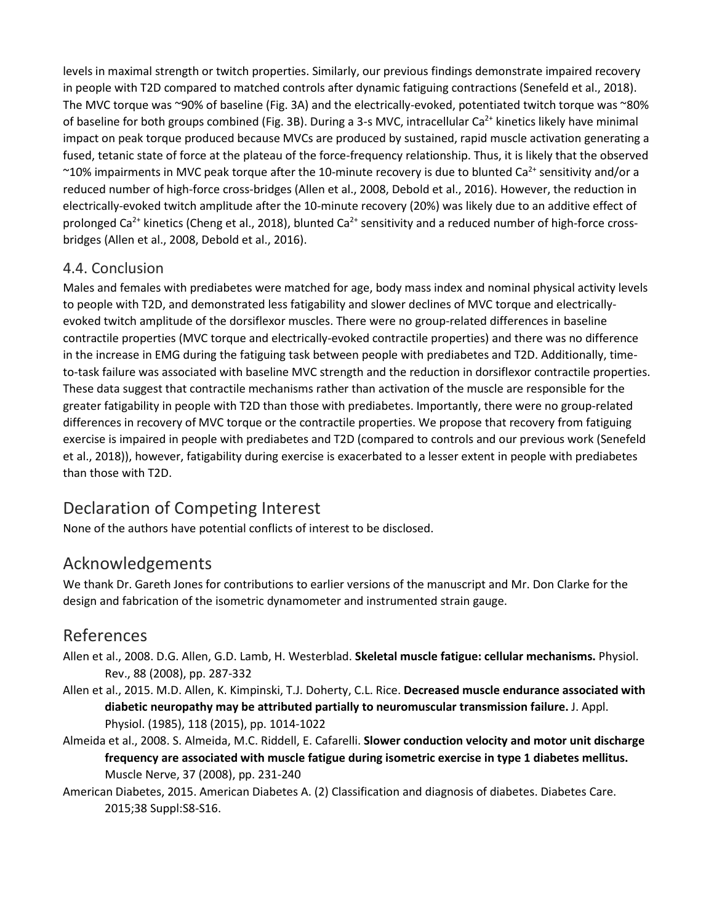levels in maximal strength or twitch properties. Similarly, our previous findings demonstrate impaired recovery in people with T2D compared to matched controls after dynamic fatiguing contractions (Senefeld et al., 2018). The MVC torque was ~90% of baseline (Fig. 3A) and the electrically-evoked, potentiated twitch torque was ~80% of baseline for both groups combined (Fig. 3B). During a 3-s MVC, intracellular Ca<sup>2+</sup> kinetics likely have minimal impact on peak torque produced because MVCs are produced by sustained, rapid muscle activation generating a fused, tetanic state of force at the plateau of the force-frequency relationship. Thus, it is likely that the observed ~10% impairments in MVC peak torque after the 10-minute recovery is due to blunted Ca<sup>2+</sup> sensitivity and/or a reduced number of high-force cross-bridges (Allen et al., 2008, Debold et al., 2016). However, the reduction in electrically-evoked twitch amplitude after the 10-minute recovery (20%) was likely due to an additive effect of prolonged Ca<sup>2+</sup> kinetics (Cheng et al., 2018), blunted Ca<sup>2+</sup> sensitivity and a reduced number of high-force crossbridges (Allen et al., 2008, Debold et al., 2016).

#### 4.4. Conclusion

Males and females with prediabetes were matched for age, body mass index and nominal physical activity levels to people with T2D, and demonstrated less fatigability and slower declines of MVC torque and electricallyevoked twitch amplitude of the dorsiflexor muscles. There were no group-related differences in baseline contractile properties (MVC torque and electrically-evoked contractile properties) and there was no difference in the increase in EMG during the fatiguing task between people with prediabetes and T2D. Additionally, timeto-task failure was associated with baseline MVC strength and the reduction in dorsiflexor contractile properties. These data suggest that contractile mechanisms rather than activation of the muscle are responsible for the greater fatigability in people with T2D than those with prediabetes. Importantly, there were no group-related differences in recovery of MVC torque or the contractile properties. We propose that recovery from fatiguing exercise is impaired in people with prediabetes and T2D (compared to controls and our previous work (Senefeld et al., 2018)), however, fatigability during exercise is exacerbated to a lesser extent in people with prediabetes than those with T2D.

# Declaration of Competing Interest

None of the authors have potential conflicts of interest to be disclosed.

# Acknowledgements

We thank Dr. Gareth Jones for contributions to earlier versions of the manuscript and Mr. Don Clarke for the design and fabrication of the isometric dynamometer and instrumented strain gauge.

## References

- Allen et al., 2008. D.G. Allen, G.D. Lamb, H. Westerblad. **Skeletal muscle fatigue: cellular mechanisms.** Physiol. Rev., 88 (2008), pp. 287-332
- Allen et al., 2015. M.D. Allen, K. Kimpinski, T.J. Doherty, C.L. Rice. **Decreased muscle endurance associated with diabetic neuropathy may be attributed partially to neuromuscular transmission failure.** J. Appl. Physiol. (1985), 118 (2015), pp. 1014-1022
- Almeida et al., 2008. S. Almeida, M.C. Riddell, E. Cafarelli. **Slower conduction velocity and motor unit discharge frequency are associated with muscle fatigue during isometric exercise in type 1 diabetes mellitus.**  Muscle Nerve, 37 (2008), pp. 231-240
- American Diabetes, 2015. American Diabetes A. (2) Classification and diagnosis of diabetes. Diabetes Care. 2015;38 Suppl:S8-S16.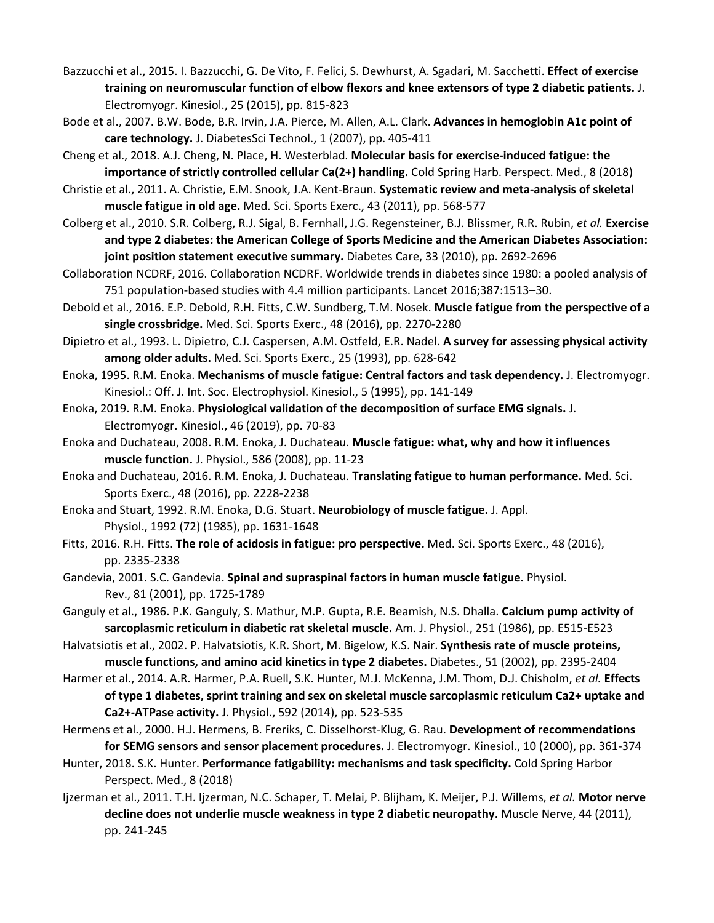- Bazzucchi et al., 2015. I. Bazzucchi, G. De Vito, F. Felici, S. Dewhurst, A. Sgadari, M. Sacchetti. **Effect of exercise training on neuromuscular function of elbow flexors and knee extensors of type 2 diabetic patients.** J. Electromyogr. Kinesiol., 25 (2015), pp. 815-823
- Bode et al., 2007. B.W. Bode, B.R. Irvin, J.A. Pierce, M. Allen, A.L. Clark. **Advances in hemoglobin A1c point of care technology.** J. DiabetesSci Technol., 1 (2007), pp. 405-411
- Cheng et al., 2018. A.J. Cheng, N. Place, H. Westerblad. **Molecular basis for exercise-induced fatigue: the importance of strictly controlled cellular Ca(2+) handling.** Cold Spring Harb. Perspect. Med., 8 (2018)
- Christie et al., 2011. A. Christie, E.M. Snook, J.A. Kent-Braun. **Systematic review and meta-analysis of skeletal muscle fatigue in old age.** Med. Sci. Sports Exerc., 43 (2011), pp. 568-577
- Colberg et al., 2010. S.R. Colberg, R.J. Sigal, B. Fernhall, J.G. Regensteiner, B.J. Blissmer, R.R. Rubin, *et al.* **Exercise and type 2 diabetes: the American College of Sports Medicine and the American Diabetes Association: joint position statement executive summary.** Diabetes Care, 33 (2010), pp. 2692-2696
- Collaboration NCDRF, 2016. Collaboration NCDRF. Worldwide trends in diabetes since 1980: a pooled analysis of 751 population-based studies with 4.4 million participants. Lancet 2016;387:1513–30.
- Debold et al., 2016. E.P. Debold, R.H. Fitts, C.W. Sundberg, T.M. Nosek. **Muscle fatigue from the perspective of a single crossbridge.** Med. Sci. Sports Exerc., 48 (2016), pp. 2270-2280
- Dipietro et al., 1993. L. Dipietro, C.J. Caspersen, A.M. Ostfeld, E.R. Nadel. **A survey for assessing physical activity among older adults.** Med. Sci. Sports Exerc., 25 (1993), pp. 628-642
- Enoka, 1995. R.M. Enoka. **Mechanisms of muscle fatigue: Central factors and task dependency.** J. Electromyogr. Kinesiol.: Off. J. Int. Soc. Electrophysiol. Kinesiol., 5 (1995), pp. 141-149
- Enoka, 2019. R.M. Enoka. **Physiological validation of the decomposition of surface EMG signals.** J. Electromyogr. Kinesiol., 46 (2019), pp. 70-83
- Enoka and Duchateau, 2008. R.M. Enoka, J. Duchateau. **Muscle fatigue: what, why and how it influences muscle function.** J. Physiol., 586 (2008), pp. 11-23
- Enoka and Duchateau, 2016. R.M. Enoka, J. Duchateau. **Translating fatigue to human performance.** Med. Sci. Sports Exerc., 48 (2016), pp. 2228-2238
- Enoka and Stuart, 1992. R.M. Enoka, D.G. Stuart. **Neurobiology of muscle fatigue.** J. Appl. Physiol., 1992 (72) (1985), pp. 1631-1648
- Fitts, 2016. R.H. Fitts. **The role of acidosis in fatigue: pro perspective.** Med. Sci. Sports Exerc., 48 (2016), pp. 2335-2338
- Gandevia, 2001. S.C. Gandevia. **Spinal and supraspinal factors in human muscle fatigue.** Physiol. Rev., 81 (2001), pp. 1725-1789
- Ganguly et al., 1986. P.K. Ganguly, S. Mathur, M.P. Gupta, R.E. Beamish, N.S. Dhalla. **Calcium pump activity of sarcoplasmic reticulum in diabetic rat skeletal muscle.** Am. J. Physiol., 251 (1986), pp. E515-E523
- Halvatsiotis et al., 2002. P. Halvatsiotis, K.R. Short, M. Bigelow, K.S. Nair. **Synthesis rate of muscle proteins, muscle functions, and amino acid kinetics in type 2 diabetes.** Diabetes., 51 (2002), pp. 2395-2404
- Harmer et al., 2014. A.R. Harmer, P.A. Ruell, S.K. Hunter, M.J. McKenna, J.M. Thom, D.J. Chisholm, *et al.* **Effects of type 1 diabetes, sprint training and sex on skeletal muscle sarcoplasmic reticulum Ca2+ uptake and Ca2+-ATPase activity.** J. Physiol., 592 (2014), pp. 523-535
- Hermens et al., 2000. H.J. Hermens, B. Freriks, C. Disselhorst-Klug, G. Rau. **Development of recommendations for SEMG sensors and sensor placement procedures.** J. Electromyogr. Kinesiol., 10 (2000), pp. 361-374
- Hunter, 2018. S.K. Hunter. **Performance fatigability: mechanisms and task specificity.** Cold Spring Harbor Perspect. Med., 8 (2018)
- Ijzerman et al., 2011. T.H. Ijzerman, N.C. Schaper, T. Melai, P. Blijham, K. Meijer, P.J. Willems, *et al.* **Motor nerve decline does not underlie muscle weakness in type 2 diabetic neuropathy.** Muscle Nerve, 44 (2011), pp. 241-245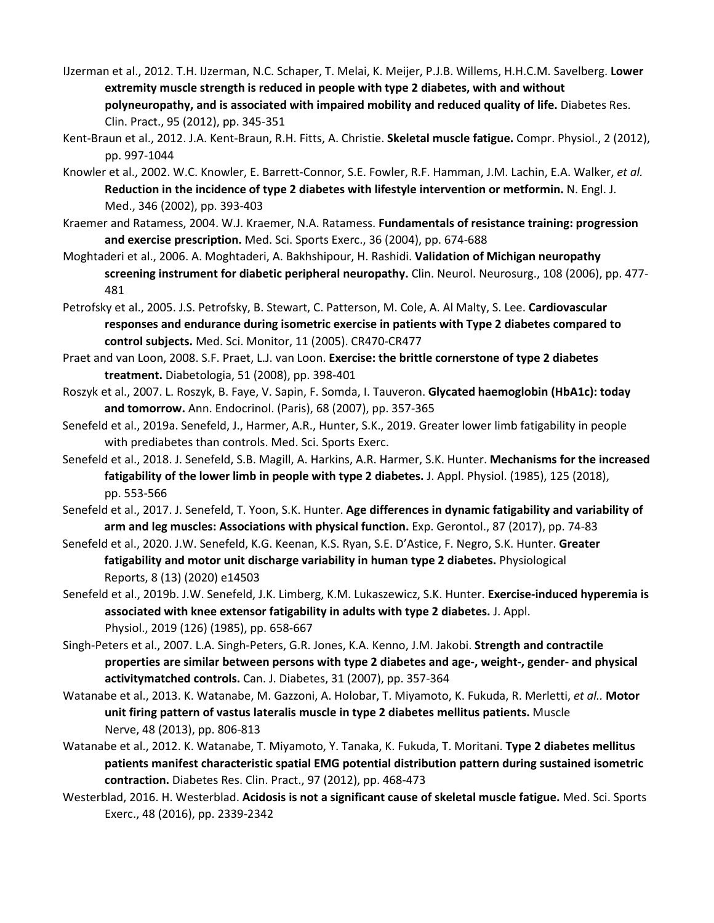- IJzerman et al., 2012. T.H. IJzerman, N.C. Schaper, T. Melai, K. Meijer, P.J.B. Willems, H.H.C.M. Savelberg. **Lower extremity muscle strength is reduced in people with type 2 diabetes, with and without polyneuropathy, and is associated with impaired mobility and reduced quality of life.** Diabetes Res. Clin. Pract., 95 (2012), pp. 345-351
- Kent-Braun et al., 2012. J.A. Kent-Braun, R.H. Fitts, A. Christie. **Skeletal muscle fatigue.** Compr. Physiol., 2 (2012), pp. 997-1044
- Knowler et al., 2002. W.C. Knowler, E. Barrett-Connor, S.E. Fowler, R.F. Hamman, J.M. Lachin, E.A. Walker, *et al.* **Reduction in the incidence of type 2 diabetes with lifestyle intervention or metformin.** N. Engl. J. Med., 346 (2002), pp. 393-403
- Kraemer and Ratamess, 2004. W.J. Kraemer, N.A. Ratamess. **Fundamentals of resistance training: progression and exercise prescription.** Med. Sci. Sports Exerc., 36 (2004), pp. 674-688
- Moghtaderi et al., 2006. A. Moghtaderi, A. Bakhshipour, H. Rashidi. **Validation of Michigan neuropathy screening instrument for diabetic peripheral neuropathy.** Clin. Neurol. Neurosurg., 108 (2006), pp. 477- 481
- Petrofsky et al., 2005. J.S. Petrofsky, B. Stewart, C. Patterson, M. Cole, A. Al Malty, S. Lee. **Cardiovascular responses and endurance during isometric exercise in patients with Type 2 diabetes compared to control subjects.** Med. Sci. Monitor, 11 (2005). CR470-CR477
- Praet and van Loon, 2008. S.F. Praet, L.J. van Loon. **Exercise: the brittle cornerstone of type 2 diabetes treatment.** Diabetologia, 51 (2008), pp. 398-401
- Roszyk et al., 2007. L. Roszyk, B. Faye, V. Sapin, F. Somda, I. Tauveron. **Glycated haemoglobin (HbA1c): today and tomorrow.** Ann. Endocrinol. (Paris), 68 (2007), pp. 357-365
- Senefeld et al., 2019a. Senefeld, J., Harmer, A.R., Hunter, S.K., 2019. Greater lower limb fatigability in people with prediabetes than controls. Med. Sci. Sports Exerc.
- Senefeld et al., 2018. J. Senefeld, S.B. Magill, A. Harkins, A.R. Harmer, S.K. Hunter. **Mechanisms for the increased fatigability of the lower limb in people with type 2 diabetes.** J. Appl. Physiol. (1985), 125 (2018), pp. 553-566
- Senefeld et al., 2017. J. Senefeld, T. Yoon, S.K. Hunter. **Age differences in dynamic fatigability and variability of arm and leg muscles: Associations with physical function.** Exp. Gerontol., 87 (2017), pp. 74-83
- Senefeld et al., 2020. J.W. Senefeld, K.G. Keenan, K.S. Ryan, S.E. D'Astice, F. Negro, S.K. Hunter. **Greater fatigability and motor unit discharge variability in human type 2 diabetes.** Physiological Reports, 8 (13) (2020) e14503
- Senefeld et al., 2019b. J.W. Senefeld, J.K. Limberg, K.M. Lukaszewicz, S.K. Hunter. **Exercise-induced hyperemia is associated with knee extensor fatigability in adults with type 2 diabetes.** J. Appl. Physiol., 2019 (126) (1985), pp. 658-667
- Singh-Peters et al., 2007. L.A. Singh-Peters, G.R. Jones, K.A. Kenno, J.M. Jakobi. **Strength and contractile properties are similar between persons with type 2 diabetes and age-, weight-, gender- and physical activitymatched controls.** Can. J. Diabetes, 31 (2007), pp. 357-364
- Watanabe et al., 2013. K. Watanabe, M. Gazzoni, A. Holobar, T. Miyamoto, K. Fukuda, R. Merletti, *et al..* **Motor unit firing pattern of vastus lateralis muscle in type 2 diabetes mellitus patients.** Muscle Nerve, 48 (2013), pp. 806-813
- Watanabe et al., 2012. K. Watanabe, T. Miyamoto, Y. Tanaka, K. Fukuda, T. Moritani. **Type 2 diabetes mellitus patients manifest characteristic spatial EMG potential distribution pattern during sustained isometric contraction.** Diabetes Res. Clin. Pract., 97 (2012), pp. 468-473
- Westerblad, 2016. H. Westerblad. **Acidosis is not a significant cause of skeletal muscle fatigue.** Med. Sci. Sports Exerc., 48 (2016), pp. 2339-2342